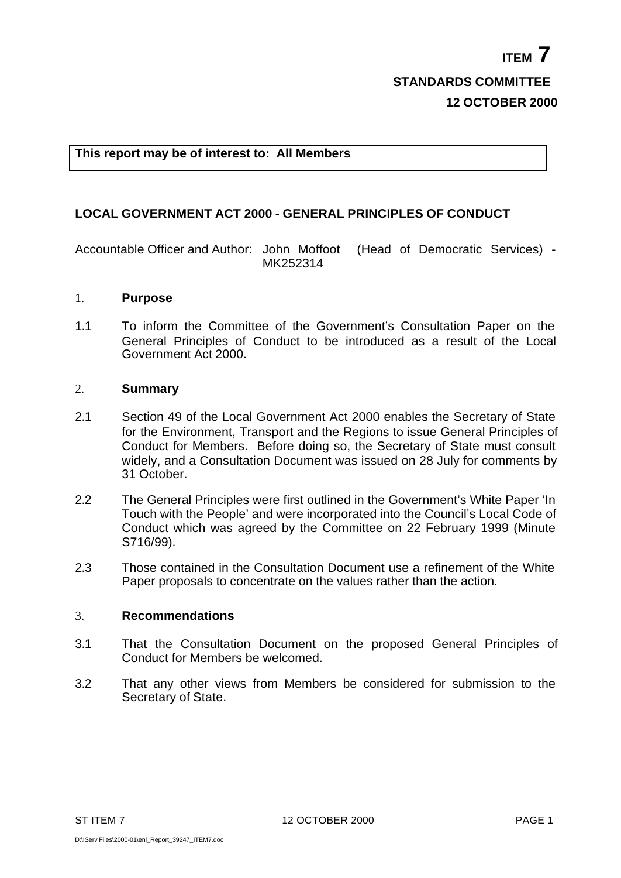## **This report may be of interest to: All Members**

# **LOCAL GOVERNMENT ACT 2000 - GENERAL PRINCIPLES OF CONDUCT**

Accountable Officer and Author: John Moffoot (Head of Democratic Services) - MK252314

### 1. **Purpose**

1.1 To inform the Committee of the Government's Consultation Paper on the General Principles of Conduct to be introduced as a result of the Local Government Act 2000.

### 2. **Summary**

- 2.1 Section 49 of the Local Government Act 2000 enables the Secretary of State for the Environment, Transport and the Regions to issue General Principles of Conduct for Members. Before doing so, the Secretary of State must consult widely, and a Consultation Document was issued on 28 July for comments by 31 October.
- 2.2 The General Principles were first outlined in the Government's White Paper 'In Touch with the People' and were incorporated into the Council's Local Code of Conduct which was agreed by the Committee on 22 February 1999 (Minute S716/99).
- 2.3 Those contained in the Consultation Document use a refinement of the White Paper proposals to concentrate on the values rather than the action.

## 3. **Recommendations**

- 3.1 That the Consultation Document on the proposed General Principles of Conduct for Members be welcomed.
- 3.2 That any other views from Members be considered for submission to the Secretary of State.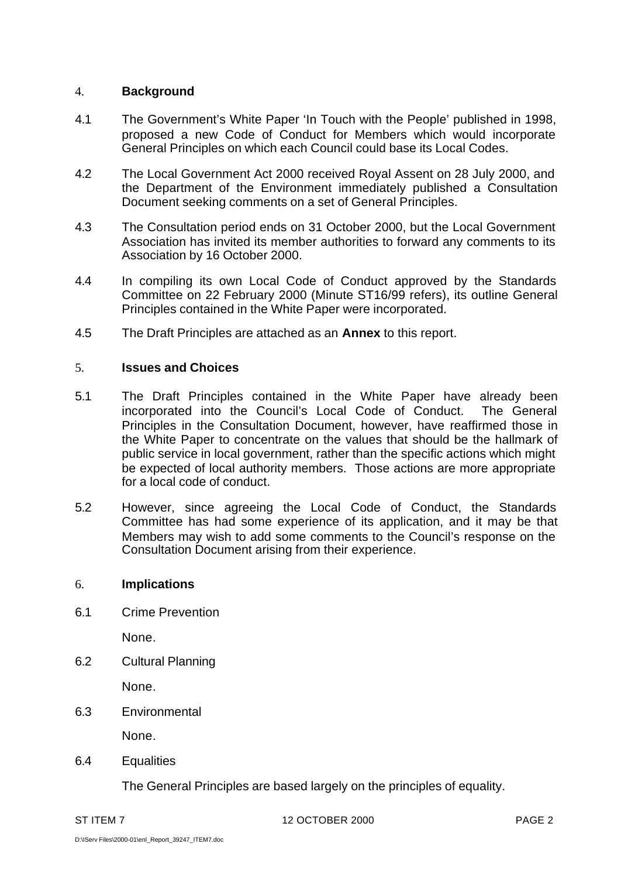## 4. **Background**

- 4.1 The Government's White Paper 'In Touch with the People' published in 1998, proposed a new Code of Conduct for Members which would incorporate General Principles on which each Council could base its Local Codes.
- 4.2 The Local Government Act 2000 received Royal Assent on 28 July 2000, and the Department of the Environment immediately published a Consultation Document seeking comments on a set of General Principles.
- 4.3 The Consultation period ends on 31 October 2000, but the Local Government Association has invited its member authorities to forward any comments to its Association by 16 October 2000.
- 4.4 In compiling its own Local Code of Conduct approved by the Standards Committee on 22 February 2000 (Minute ST16/99 refers), its outline General Principles contained in the White Paper were incorporated.
- 4.5 The Draft Principles are attached as an **Annex** to this report.

## 5. **Issues and Choices**

- 5.1 The Draft Principles contained in the White Paper have already been incorporated into the Council's Local Code of Conduct. The General Principles in the Consultation Document, however, have reaffirmed those in the White Paper to concentrate on the values that should be the hallmark of public service in local government, rather than the specific actions which might be expected of local authority members. Those actions are more appropriate for a local code of conduct.
- 5.2 However, since agreeing the Local Code of Conduct, the Standards Committee has had some experience of its application, and it may be that Members may wish to add some comments to the Council's response on the Consultation Document arising from their experience.

## 6. **Implications**

6.1 Crime Prevention

None.

6.2 Cultural Planning

None.

6.3 Environmental

None.

6.4 Equalities

The General Principles are based largely on the principles of equality.

ST ITEM 7 12 OCTOBER 2000 2000 PAGE 2